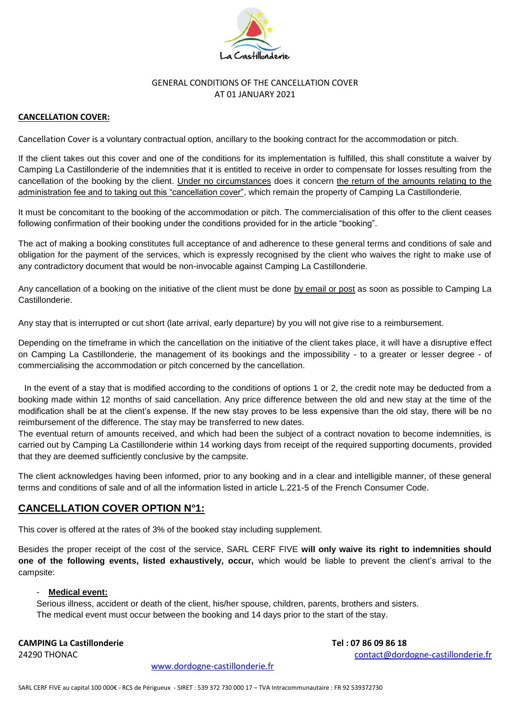

### GENERAL CONDITIONS OF THE CANCELLATION COVER AT 01 JANUARY 2021

### **CANCELLATION COVER:**

Cancellation Cover is a voluntary contractual option, ancillary to the booking contract for the accommodation or pitch.

If the client takes out this cover and one of the conditions for its implementation is fulfilled, this shall constitute a waiver by Camping La Castillonderie of the indemnities that it is entitled to receive in order to compensate for losses resulting from the cancellation of the booking by the client. Under no circumstances does it concern the return of the amounts relating to the administration fee and to taking out this "cancellation cover", which remain the property of Camping La Castillonderie.

It must be concomitant to the booking of the accommodation or pitch. The commercialisation of this offer to the client ceases following confirmation of their booking under the conditions provided for in the article "booking".

The act of making a booking constitutes full acceptance of and adherence to these general terms and conditions of sale and obligation for the payment of the services, which is expressly recognised by the client who waives the right to make use of any contradictory document that would be non-invocable against Camping La Castillonderie.

Any cancellation of a booking on the initiative of the client must be done by email or post as soon as possible to Camping La Castillonderie.

Any stay that is interrupted or cut short (late arrival, early departure) by you will not give rise to a reimbursement.

Depending on the timeframe in which the cancellation on the initiative of the client takes place, it will have a disruptive effect on Camping La Castillonderie, the management of its bookings and the impossibility - to a greater or lesser degree - of commercialising the accommodation or pitch concerned by the cancellation.

In the event of a stay that is modified according to the conditions of options 1 or 2, the credit note may be deducted from a booking made within 12 months of said cancellation. Any price difference between the old and new stay at the time of the modification shall be at the client's expense. If the new stay proves to be less expensive than the old stay, there will be no reimbursement of the difference. The stay may be transferred to new dates.

The eventual return of amounts received, and which had been the subject of a contract novation to become indemnities, is carried out by Camping La Castillonderie within 14 working days from receipt of the required supporting documents, provided that they are deemed sufficiently conclusive by the campsite.

The client acknowledges having been informed, prior to any booking and in a clear and intelligible manner, of these general terms and conditions of sale and of all the information listed in article L.221-5 of the French Consumer Code.

## **CANCELLATION COVER OPTION N°1:**

This cover is offered at the rates of 3% of the booked stay including supplement.

Besides the proper receipt of the cost of the service, SARL CERF FIVE **will only waive its right to indemnities should one of the following events, listed exhaustively, occur,** which would be liable to prevent the client's arrival to the campsite:

#### - **Medical event:**

Serious illness, accident or death of the client, his/her spouse, children, parents, brothers and sisters. The medical event must occur between the booking and 14 days prior to the start of the stay.

**CAMPING La Castillonderie Tel : 07 86 09 86 18**

24290 THONAC [contact@dordogne-castillonderie.fr](mailto:contact@dordogne-castillonderie.fr)

[www.dordogne-castillonderie.fr](http://www.dordogne-castillonderie.fr/)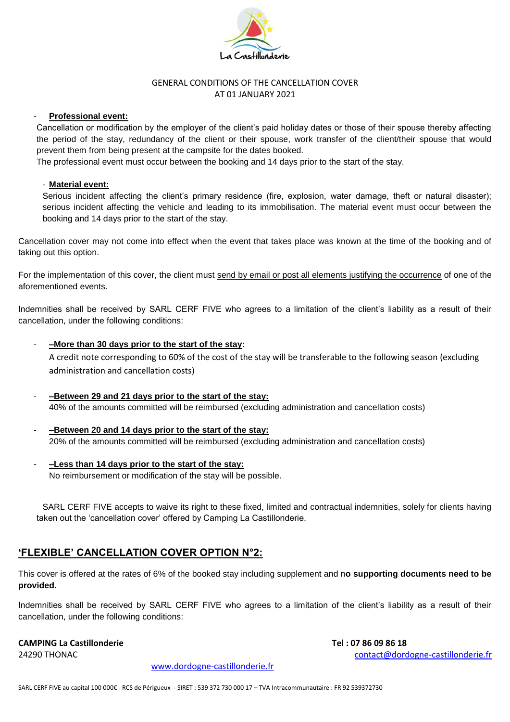

### GENERAL CONDITIONS OF THE CANCELLATION COVER AT 01 JANUARY 2021

#### **Professional event:**

Cancellation or modification by the employer of the client's paid holiday dates or those of their spouse thereby affecting the period of the stay, redundancy of the client or their spouse, work transfer of the client/their spouse that would prevent them from being present at the campsite for the dates booked.

The professional event must occur between the booking and 14 days prior to the start of the stay.

#### - **Material event:**

Serious incident affecting the client's primary residence (fire, explosion, water damage, theft or natural disaster); serious incident affecting the vehicle and leading to its immobilisation. The material event must occur between the booking and 14 days prior to the start of the stay.

Cancellation cover may not come into effect when the event that takes place was known at the time of the booking and of taking out this option.

For the implementation of this cover, the client must send by email or post all elements justifying the occurrence of one of the aforementioned events.

Indemnities shall be received by SARL CERF FIVE who agrees to a limitation of the client's liability as a result of their cancellation, under the following conditions:

- **–More than 30 days prior to the start of the stay**: A credit note corresponding to 60% of the cost of the stay will be transferable to the following season (excluding administration and cancellation costs)
- **–Between 29 and 21 days prior to the start of the stay:** 40% of the amounts committed will be reimbursed (excluding administration and cancellation costs)
- **–Between 20 and 14 days prior to the start of the stay:** 20% of the amounts committed will be reimbursed (excluding administration and cancellation costs)
- **–Less than 14 days prior to the start of the stay:** No reimbursement or modification of the stay will be possible.

SARL CERF FIVE accepts to waive its right to these fixed, limited and contractual indemnities, solely for clients having taken out the 'cancellation cover' offered by Camping La Castillonderie.

# **'FLEXIBLE' CANCELLATION COVER OPTION N°2:**

This cover is offered at the rates of 6% of the booked stay including supplement and n**o supporting documents need to be provided.**

Indemnities shall be received by SARL CERF FIVE who agrees to a limitation of the client's liability as a result of their cancellation, under the following conditions:

#### **CAMPING La Castillonderie Tel : 07 86 09 86 18**

24290 THONAC [contact@dordogne-castillonderie.fr](mailto:contact@dordogne-castillonderie.fr)

[www.dordogne-castillonderie.fr](http://www.dordogne-castillonderie.fr/)